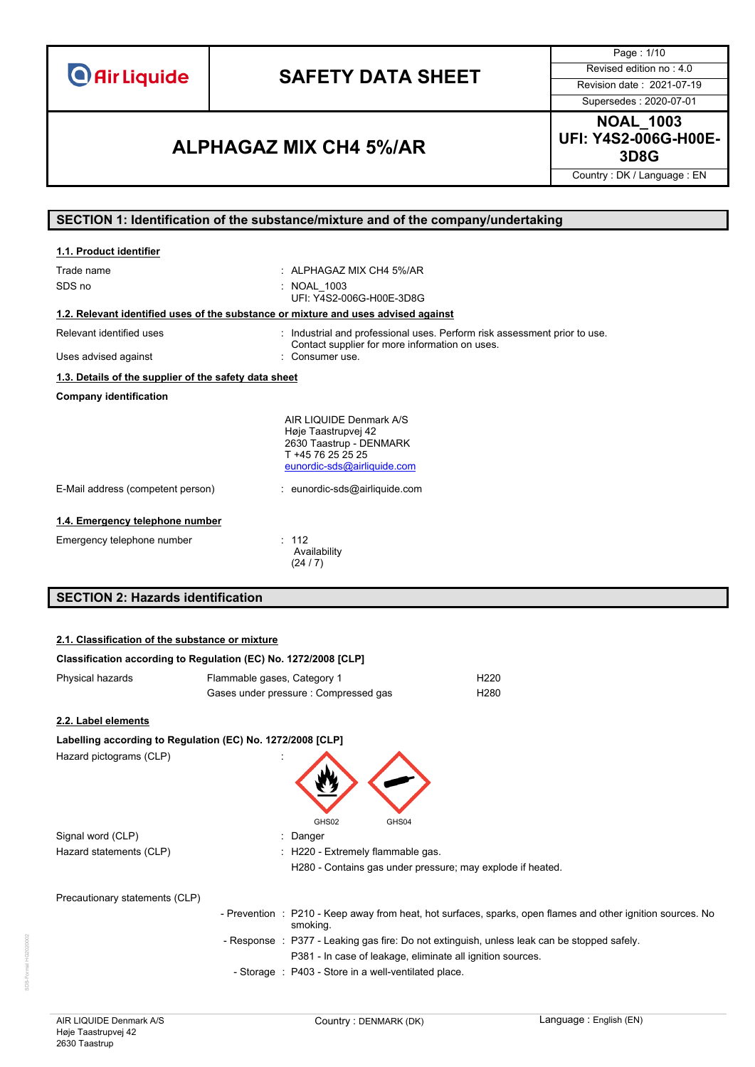# **SAFETY DATA SHEET** Revised edition no : 4.0

Page : 1/10 Supersedes : 2020-07-01

## **3D8G ALPHAGAZ MIX CH4 5%/AR**

**NOAL\_1003 UFI: Y4S2-006G-H00E-**

Country : DK / Language : EN

### **SECTION 1: Identification of the substance/mixture and of the company/undertaking**

| 1.1. Product identifier                                                            |                                                                                                                               |
|------------------------------------------------------------------------------------|-------------------------------------------------------------------------------------------------------------------------------|
| Trade name                                                                         | $\pm$ ALPHAGAZ MIX CH4 5%/AR                                                                                                  |
| SDS no                                                                             | : NOAL 1003<br>UFI: Y4S2-006G-H00E-3D8G                                                                                       |
| 1.2. Relevant identified uses of the substance or mixture and uses advised against |                                                                                                                               |
| Relevant identified uses                                                           | Industrial and professional uses. Perform risk assessment prior to use.<br>Contact supplier for more information on uses.     |
| Uses advised against                                                               | Consumer use.                                                                                                                 |
| 1.3. Details of the supplier of the safety data sheet                              |                                                                                                                               |
| <b>Company identification</b>                                                      |                                                                                                                               |
|                                                                                    | AIR LIQUIDE Denmark A/S<br>Høje Taastrupvej 42<br>2630 Taastrup - DENMARK<br>T +45 76 25 25 25<br>eunordic-sds@airliquide.com |
| E-Mail address (competent person)                                                  | : eunordic-sds@airliquide.com                                                                                                 |
| 1.4. Emergency telephone number                                                    |                                                                                                                               |
| Emergency telephone number                                                         | : 112<br>Availability<br>(24/7)                                                                                               |
| <b>SECTION 2: Hazards identification</b>                                           |                                                                                                                               |

# **2.1. Classification of the substance or mixture**

| Classification according to Regulation (EC) No. 1272/2008 [CLP] |                             |                                                            |                                                                                             |                                                                                                             |
|-----------------------------------------------------------------|-----------------------------|------------------------------------------------------------|---------------------------------------------------------------------------------------------|-------------------------------------------------------------------------------------------------------------|
| Physical hazards                                                | Flammable gases, Category 1 |                                                            | H <sub>220</sub>                                                                            |                                                                                                             |
|                                                                 |                             | Gases under pressure : Compressed gas                      | H <sub>280</sub>                                                                            |                                                                                                             |
| 2.2. Label elements                                             |                             |                                                            |                                                                                             |                                                                                                             |
| Labelling according to Regulation (EC) No. 1272/2008 [CLP]      |                             |                                                            |                                                                                             |                                                                                                             |
| Hazard pictograms (CLP)                                         |                             | GHS02<br>GHS04                                             |                                                                                             |                                                                                                             |
| Signal word (CLP)                                               |                             | : Danger                                                   |                                                                                             |                                                                                                             |
| Hazard statements (CLP)                                         |                             | : H220 - Extremely flammable gas.                          | H280 - Contains gas under pressure; may explode if heated.                                  |                                                                                                             |
| Precautionary statements (CLP)                                  |                             |                                                            |                                                                                             |                                                                                                             |
|                                                                 |                             | smoking.                                                   |                                                                                             | - Prevention : P210 - Keep away from heat, hot surfaces, sparks, open flames and other ignition sources. No |
|                                                                 |                             | P381 - In case of leakage, eliminate all ignition sources. | - Response : P377 - Leaking gas fire: Do not extinguish, unless leak can be stopped safely. |                                                                                                             |
|                                                                 |                             | - Storage : P403 - Store in a well-ventilated place.       |                                                                                             |                                                                                                             |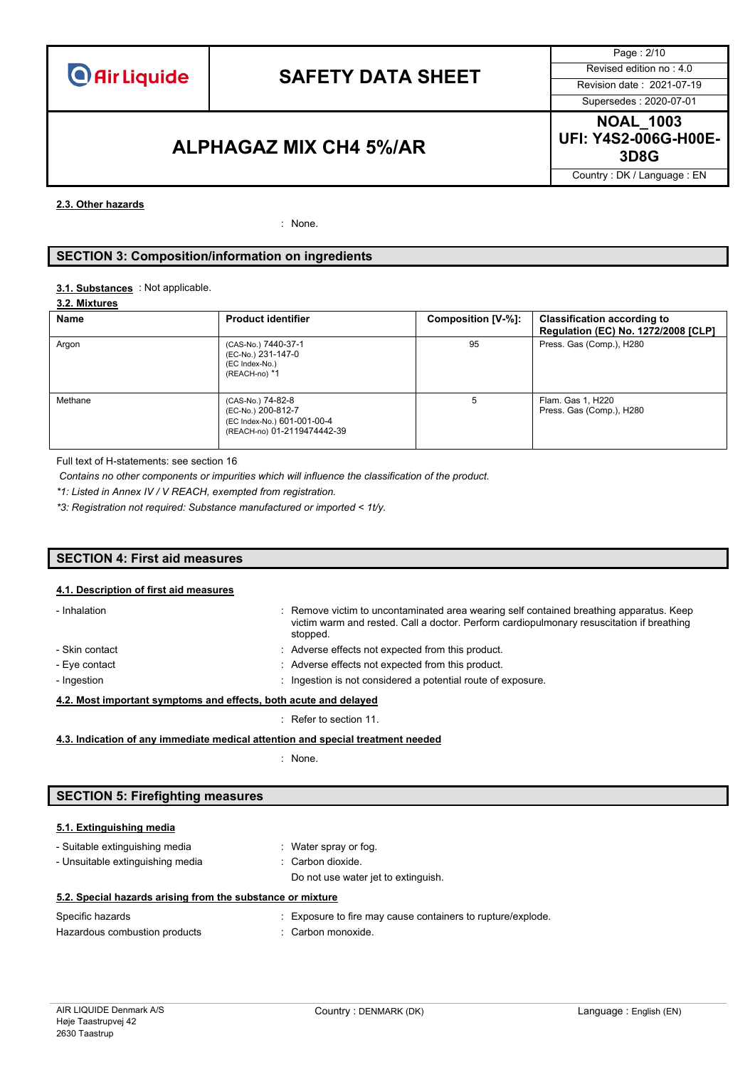

# **SAFETY DATA SHEET** Revised edition no : 4.0

Page : 2/10 Supersedes : 2020-07-01

### **3D8G ALPHAGAZ MIX CH4 5%/AR**

**NOAL\_1003 UFI: Y4S2-006G-H00E-**

Country : DK / Language : EN

#### **2.3. Other hazards**

: None.

#### **SECTION 3: Composition/information on ingredients**

#### : Not applicable. **3.1. Substances**

|  |  | 3.2. Mixtures |  |
|--|--|---------------|--|
|--|--|---------------|--|

| Name    | <b>Product identifier</b>                                                                             | Composition [V-%]: | <b>Classification according to</b><br>Regulation (EC) No. 1272/2008 [CLP] |
|---------|-------------------------------------------------------------------------------------------------------|--------------------|---------------------------------------------------------------------------|
| Argon   | (CAS-No.) 7440-37-1<br>(EC-No.) 231-147-0<br>(EC Index-No.)<br>(REACH-no) *1                          | 95                 | Press. Gas (Comp.), H280                                                  |
| Methane | (CAS-No.) 74-82-8<br>(EC-No.) 200-812-7<br>(EC Index-No.) 601-001-00-4<br>(REACH-no) 01-2119474442-39 | 5                  | Flam. Gas 1, H220<br>Press. Gas (Comp.), H280                             |

Full text of H-statements: see section 16

*Contains no other components or impurities which will influence the classification of the product.*

*\*1: Listed in Annex IV / V REACH, exempted from registration.*

*\*3: Registration not required: Substance manufactured or imported < 1t/y.*

#### **SECTION 4: First aid measures**

#### **4.1. Description of first aid measures**

| - Inhalation                                                     | : Remove victim to uncontaminated area wearing self contained breathing apparatus. Keep<br>victim warm and rested. Call a doctor. Perform cardiopulmonary resuscitation if breathing<br>stopped. |  |  |  |  |
|------------------------------------------------------------------|--------------------------------------------------------------------------------------------------------------------------------------------------------------------------------------------------|--|--|--|--|
| - Skin contact                                                   | : Adverse effects not expected from this product.                                                                                                                                                |  |  |  |  |
| - Eye contact                                                    | : Adverse effects not expected from this product.                                                                                                                                                |  |  |  |  |
| - Ingestion                                                      | : Ingestion is not considered a potential route of exposure.                                                                                                                                     |  |  |  |  |
| 4.2. Most important symptoms and effects, both acute and delayed |                                                                                                                                                                                                  |  |  |  |  |

### : Refer to section 11.

**4.3. Indication of any immediate medical attention and special treatment needed**

: None.

#### **SECTION 5: Firefighting measures**

#### **5.1. Extinguishing media**

- Suitable extinguishing media : Water spray or fog. - Unsuitable extinguishing media : Carbon dioxide.
	- Do not use water jet to extinguish.

|  |  |  |  |  |  |  | 5.2. Special hazards arising from the substance or mixture |  |  |
|--|--|--|--|--|--|--|------------------------------------------------------------|--|--|
|--|--|--|--|--|--|--|------------------------------------------------------------|--|--|

| Specific hazards              | : Exposure to fire may cause containers to rupture/explode. |
|-------------------------------|-------------------------------------------------------------|
| Hazardous combustion products | : Carbon monoxide.                                          |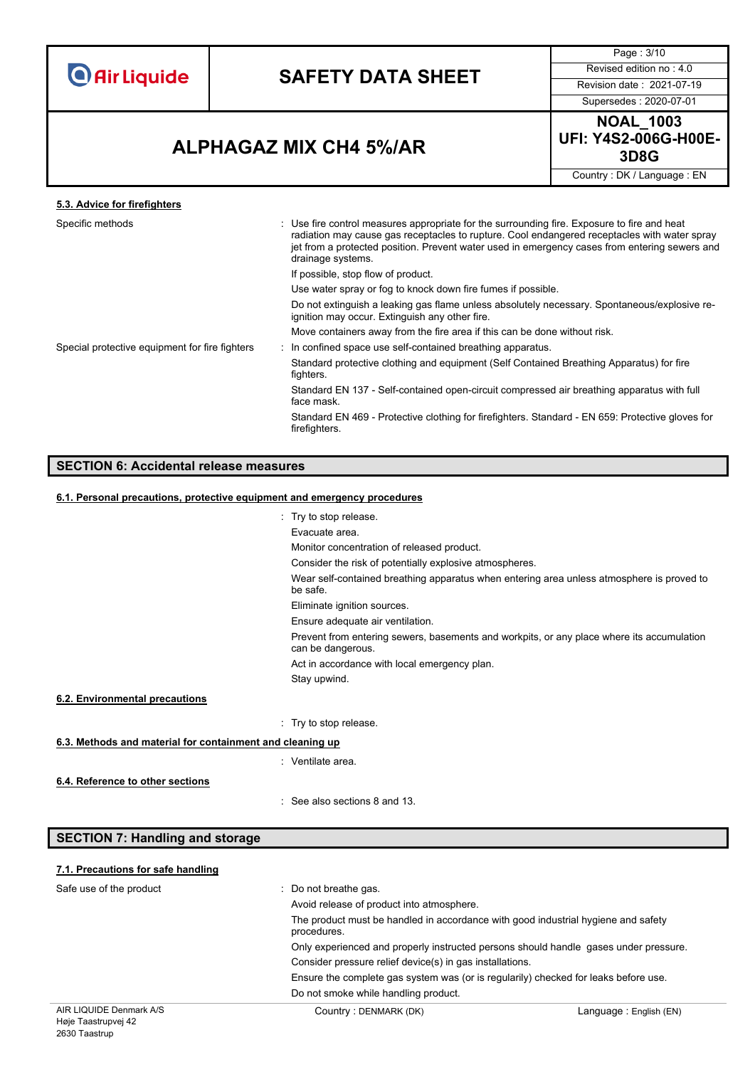# **SAFETY DATA SHEET** Revised edition no : 4.0

Page : 3/10

Supersedes : 2020-07-01

## **3D8G ALPHAGAZ MIX CH4 5%/AR**

**NOAL\_1003 UFI: Y4S2-006G-H00E-**

Country : DK / Language : EN

### **5.3. Advice for firefighters**

| : Use fire control measures appropriate for the surrounding fire. Exposure to fire and heat<br>radiation may cause gas receptacles to rupture. Cool endangered receptacles with water spray<br>jet from a protected position. Prevent water used in emergency cases from entering sewers and<br>drainage systems. |
|-------------------------------------------------------------------------------------------------------------------------------------------------------------------------------------------------------------------------------------------------------------------------------------------------------------------|
| If possible, stop flow of product.                                                                                                                                                                                                                                                                                |
| Use water spray or fog to knock down fire fumes if possible.                                                                                                                                                                                                                                                      |
| Do not extinguish a leaking gas flame unless absolutely necessary. Spontaneous/explosive re-<br>ignition may occur. Extinguish any other fire.                                                                                                                                                                    |
| Move containers away from the fire area if this can be done without risk.                                                                                                                                                                                                                                         |
| : In confined space use self-contained breathing apparatus.                                                                                                                                                                                                                                                       |
| Standard protective clothing and equipment (Self Contained Breathing Apparatus) for fire<br>fighters.                                                                                                                                                                                                             |
| Standard EN 137 - Self-contained open-circuit compressed air breathing apparatus with full<br>face mask.                                                                                                                                                                                                          |
| Standard EN 469 - Protective clothing for firefighters. Standard - EN 659: Protective gloves for<br>firefighters.                                                                                                                                                                                                 |
|                                                                                                                                                                                                                                                                                                                   |

### **SECTION 6: Accidental release measures**

#### **6.1. Personal precautions, protective equipment and emergency procedures**

|                                                                                                                | : Try to stop release.                                                                                |  |  |  |  |  |
|----------------------------------------------------------------------------------------------------------------|-------------------------------------------------------------------------------------------------------|--|--|--|--|--|
|                                                                                                                | Evacuate area.                                                                                        |  |  |  |  |  |
|                                                                                                                | Monitor concentration of released product.                                                            |  |  |  |  |  |
|                                                                                                                | Consider the risk of potentially explosive atmospheres.                                               |  |  |  |  |  |
|                                                                                                                | Wear self-contained breathing apparatus when entering area unless atmosphere is proved to<br>be safe. |  |  |  |  |  |
|                                                                                                                | Eliminate ignition sources.                                                                           |  |  |  |  |  |
|                                                                                                                | Ensure adequate air ventilation.                                                                      |  |  |  |  |  |
| Prevent from entering sewers, basements and workpits, or any place where its accumulation<br>can be dangerous. |                                                                                                       |  |  |  |  |  |
|                                                                                                                | Act in accordance with local emergency plan.                                                          |  |  |  |  |  |
|                                                                                                                | Stay upwind.                                                                                          |  |  |  |  |  |
| 6.2. Environmental precautions                                                                                 |                                                                                                       |  |  |  |  |  |
|                                                                                                                | $\therefore$ Try to stop release.                                                                     |  |  |  |  |  |
| 6.3. Methods and material for containment and cleaning up                                                      |                                                                                                       |  |  |  |  |  |
|                                                                                                                | : Ventilate area.                                                                                     |  |  |  |  |  |
| 6.4. Reference to other sections                                                                               |                                                                                                       |  |  |  |  |  |
|                                                                                                                | : See also sections 8 and 13.                                                                         |  |  |  |  |  |
|                                                                                                                |                                                                                                       |  |  |  |  |  |
| <b>SECTION 7: Handling and storage</b>                                                                         |                                                                                                       |  |  |  |  |  |

#### **7.1. Precautions for safe handling**

| Safe use of the product | : Do not breathe gas.                                                                            |                        |  |  |  |
|-------------------------|--------------------------------------------------------------------------------------------------|------------------------|--|--|--|
|                         | Avoid release of product into atmosphere.                                                        |                        |  |  |  |
|                         | The product must be handled in accordance with good industrial hygiene and safety<br>procedures. |                        |  |  |  |
|                         | Only experienced and properly instructed persons should handle gases under pressure.             |                        |  |  |  |
|                         | Consider pressure relief device(s) in gas installations.                                         |                        |  |  |  |
|                         | Ensure the complete gas system was (or is regularily) checked for leaks before use.              |                        |  |  |  |
|                         | Do not smoke while handling product.                                                             |                        |  |  |  |
| AIR LIQUIDE Denmark A/S | Country: DENMARK (DK)                                                                            | Language: English (EN) |  |  |  |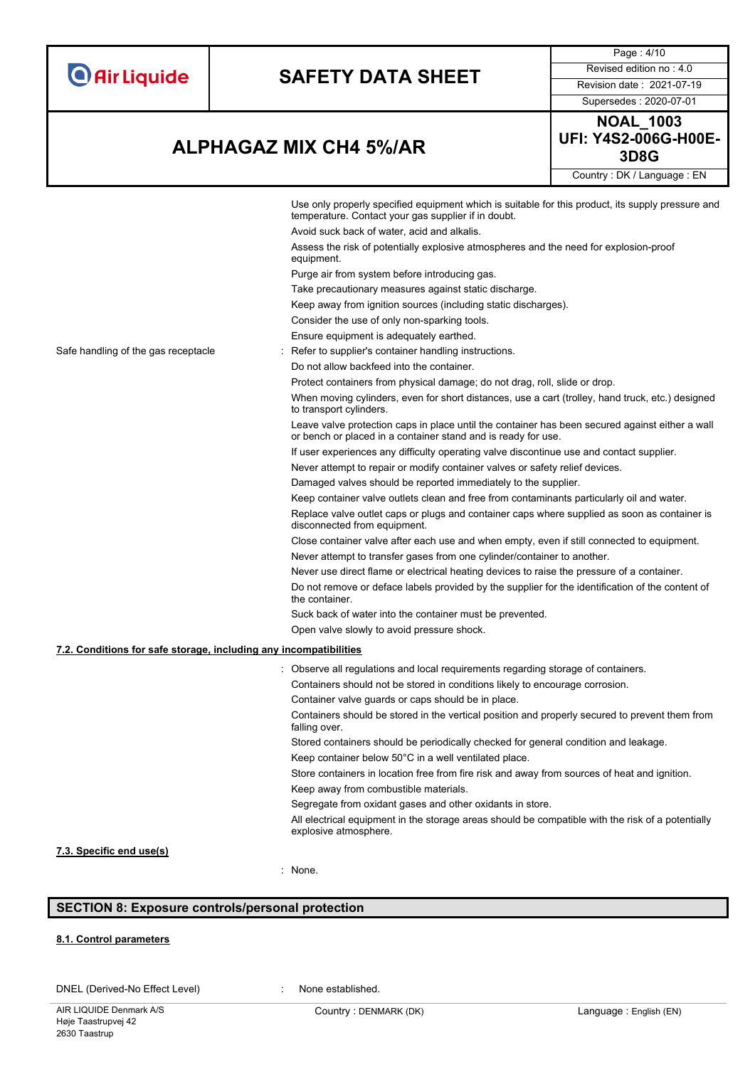| <b>O</b> Air Liquide |  |  |  |  |
|----------------------|--|--|--|--|
|                      |  |  |  |  |

# **SAFETY DATA SHEET** Revised edition no : 4.0

Page : 4/10

Supersedes : 2020-07-01

## **3D8G ALPHAGAZ MIX CH4 5%/AR**

**NOAL\_1003 UFI: Y4S2-006G-H00E-**Country : DK / Language : EN

|                                                                   | Use only properly specified equipment which is suitable for this product, its supply pressure and<br>temperature. Contact your gas supplier if in doubt.         |
|-------------------------------------------------------------------|------------------------------------------------------------------------------------------------------------------------------------------------------------------|
|                                                                   | Avoid suck back of water, acid and alkalis.                                                                                                                      |
|                                                                   | Assess the risk of potentially explosive atmospheres and the need for explosion-proof                                                                            |
|                                                                   | equipment.                                                                                                                                                       |
|                                                                   | Purge air from system before introducing gas.                                                                                                                    |
|                                                                   | Take precautionary measures against static discharge.                                                                                                            |
|                                                                   | Keep away from ignition sources (including static discharges).                                                                                                   |
|                                                                   | Consider the use of only non-sparking tools.                                                                                                                     |
|                                                                   | Ensure equipment is adequately earthed.                                                                                                                          |
| Safe handling of the gas receptacle                               | : Refer to supplier's container handling instructions.                                                                                                           |
|                                                                   | Do not allow backfeed into the container.                                                                                                                        |
|                                                                   | Protect containers from physical damage; do not drag, roll, slide or drop.                                                                                       |
|                                                                   | When moving cylinders, even for short distances, use a cart (trolley, hand truck, etc.) designed<br>to transport cylinders.                                      |
|                                                                   | Leave valve protection caps in place until the container has been secured against either a wall<br>or bench or placed in a container stand and is ready for use. |
|                                                                   | If user experiences any difficulty operating valve discontinue use and contact supplier.                                                                         |
|                                                                   | Never attempt to repair or modify container valves or safety relief devices.                                                                                     |
|                                                                   | Damaged valves should be reported immediately to the supplier.                                                                                                   |
|                                                                   | Keep container valve outlets clean and free from contaminants particularly oil and water.                                                                        |
|                                                                   | Replace valve outlet caps or plugs and container caps where supplied as soon as container is<br>disconnected from equipment.                                     |
|                                                                   | Close container valve after each use and when empty, even if still connected to equipment.                                                                       |
|                                                                   | Never attempt to transfer gases from one cylinder/container to another.                                                                                          |
|                                                                   | Never use direct flame or electrical heating devices to raise the pressure of a container.                                                                       |
|                                                                   | Do not remove or deface labels provided by the supplier for the identification of the content of<br>the container.                                               |
|                                                                   | Suck back of water into the container must be prevented.                                                                                                         |
|                                                                   | Open valve slowly to avoid pressure shock.                                                                                                                       |
| 7.2. Conditions for safe storage, including any incompatibilities |                                                                                                                                                                  |
|                                                                   | : Observe all regulations and local requirements regarding storage of containers.                                                                                |
|                                                                   | Containers should not be stored in conditions likely to encourage corrosion.                                                                                     |
|                                                                   | Container valve guards or caps should be in place.                                                                                                               |
|                                                                   | Containers should be stored in the vertical position and properly secured to prevent them from<br>falling over.                                                  |
|                                                                   | Stored containers should be periodically checked for general condition and leakage.                                                                              |
|                                                                   | Keep container below 50°C in a well ventilated place.                                                                                                            |
|                                                                   | Store containers in location free from fire risk and away from sources of heat and ignition.                                                                     |
|                                                                   | Keep away from combustible materials.                                                                                                                            |
|                                                                   | Segregate from oxidant gases and other oxidants in store.                                                                                                        |
|                                                                   | All electrical equipment in the storage areas should be compatible with the risk of a potentially<br>explosive atmosphere.                                       |
| 7.3. Specific end use(s)                                          |                                                                                                                                                                  |
|                                                                   | : None.                                                                                                                                                          |

### **SECTION 8: Exposure controls/personal protection**

### **8.1. Control parameters**

DNEL (Derived-No Effect Level) : None established.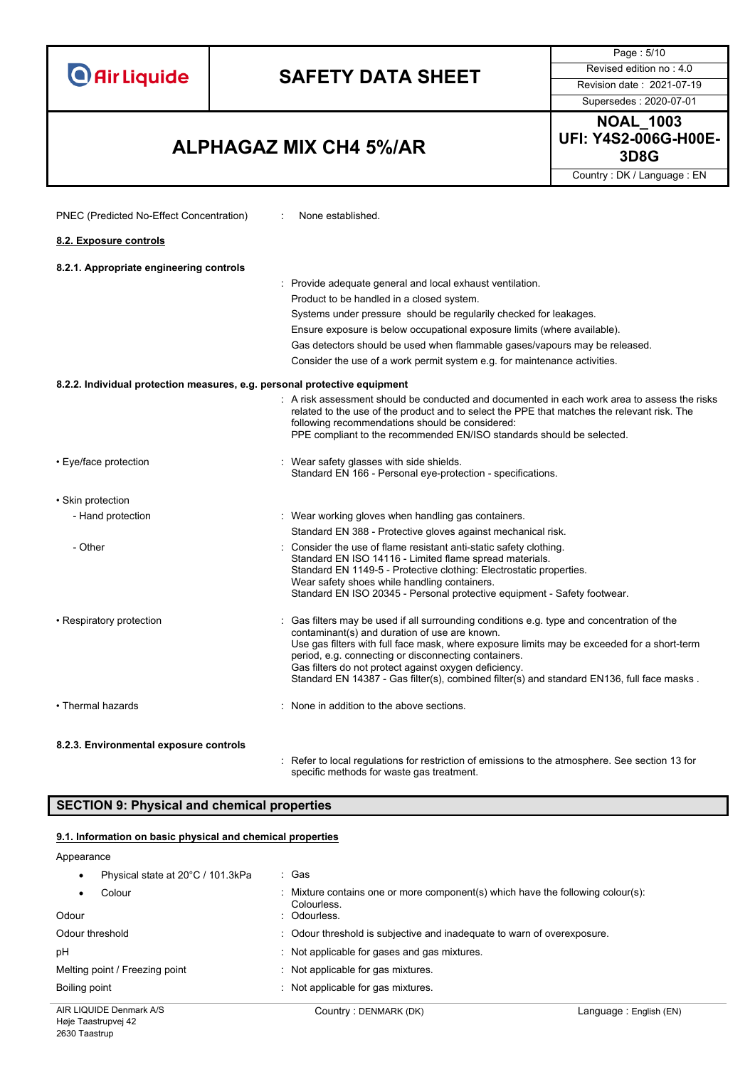Page : 5/10 **SAFETY DATA SHEET** Revised edition no : 4.0 **O** Air Liquide Supersedes : 2020-07-01 **NOAL\_1003 UFI: Y4S2-006G-H00E-3D8G ALPHAGAZ MIX CH4 5%/AR** Country : DK / Language : EN PNEC (Predicted No-Effect Concentration) : None established. **8.2. Exposure controls8.2.1. Appropriate engineering controls** : Provide adequate general and local exhaust ventilation. Product to be handled in a closed system. Systems under pressure should be regularily checked for leakages. Ensure exposure is below occupational exposure limits (where available). Gas detectors should be used when flammable gases/vapours may be released. Consider the use of a work permit system e.g. for maintenance activities. **8.2.2. Individual protection measures, e.g. personal protective equipment** : A risk assessment should be conducted and documented in each work area to assess the risks related to the use of the product and to select the PPE that matches the relevant risk. The following recommendations should be considered: PPE compliant to the recommended EN/ISO standards should be selected. • Eye/face protection **in the state of the set of the set of the set of the set of the set of the set of the shields.** Standard EN 166 - Personal eye-protection - specifications. • Skin protection - Hand protection **in the state of the state of the Wear working gloves when handling gas containers.** Standard EN 388 - Protective gloves against mechanical risk. - Other interest in the use of flame resistant anti-static safety clothing. Standard EN ISO 14116 - Limited flame spread materials. Standard EN 1149-5 - Protective clothing: Electrostatic properties. Wear safety shoes while handling containers. Standard EN ISO 20345 - Personal protective equipment - Safety footwear. • Respiratory protection **interval of the Case of the Case of the used** if all surrounding conditions e.g. type and concentration of the contaminant(s) and duration of use are known. Use gas filters with full face mask, where exposure limits may be exceeded for a short-term period, e.g. connecting or disconnecting containers. Gas filters do not protect against oxygen deficiency. Standard EN 14387 - Gas filter(s), combined filter(s) and standard EN136, full face masks . • Thermal hazards : None in addition to the above sections.

#### **8.2.3. Environmental exposure controls**

: Refer to local regulations for restriction of emissions to the atmosphere. See section 13 for specific methods for waste gas treatment.

#### **SECTION 9: Physical and chemical properties**

#### **9.1. Information on basic physical and chemical properties**

#### Appearance

| Physical state at 20°C / 101.3kPa | : Gas                                                                                                          |                         |
|-----------------------------------|----------------------------------------------------------------------------------------------------------------|-------------------------|
| Colour<br>Odour                   | : Mixture contains one or more component(s) which have the following colour(s):<br>Colourless.<br>: Odourless. |                         |
| Odour threshold                   | : Odour threshold is subjective and inadequate to warn of overexposure.                                        |                         |
| pH                                | Not applicable for gases and gas mixtures.                                                                     |                         |
| Melting point / Freezing point    | : Not applicable for gas mixtures.                                                                             |                         |
| Boiling point                     | : Not applicable for gas mixtures.                                                                             |                         |
| AIR LIQUIDE Denmark A/S           | Country: DENMARK (DK)                                                                                          | Language : English (EN) |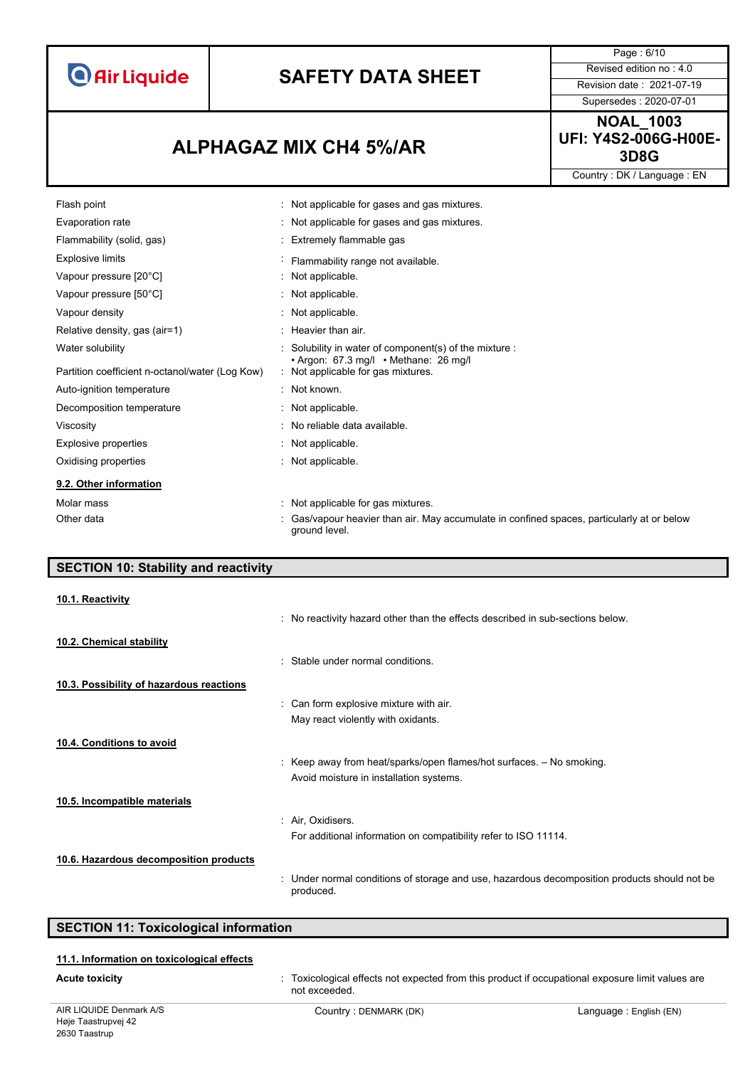# **SAFETY DATA SHEET** Revised edition no : 4.0

Page : 6/10 Supersedes : 2020-07-01

**3D8G ALPHAGAZ MIX CH4 5%/AR**

ground level.

**NOAL\_1003 UFI: Y4S2-006G-H00E-**

Country : DK / Language : EN

| Flash point                                     | Not applicable for gases and gas mixtures.                                                 |
|-------------------------------------------------|--------------------------------------------------------------------------------------------|
| Evaporation rate                                | Not applicable for gases and gas mixtures.                                                 |
| Flammability (solid, gas)                       | : Extremely flammable gas                                                                  |
| <b>Explosive limits</b>                         | Flammability range not available.                                                          |
| Vapour pressure [20°C]                          | : Not applicable.                                                                          |
| Vapour pressure [50°C]                          | : Not applicable.                                                                          |
| Vapour density                                  | : Not applicable.                                                                          |
| Relative density, gas (air=1)                   | $:$ Heavier than air.                                                                      |
| Water solubility                                | : Solubility in water of component(s) of the mixture :                                     |
| Partition coefficient n-octanol/water (Log Kow) | $\cdot$ Argon: 67.3 mg/l $\cdot$ Methane: 26 mg/l<br>: Not applicable for gas mixtures.    |
| Auto-ignition temperature                       | $\therefore$ Not known.                                                                    |
| Decomposition temperature                       | : Not applicable.                                                                          |
| Viscosity                                       | : No reliable data available.                                                              |
| Explosive properties                            | : Not applicable.                                                                          |
| Oxidising properties                            | : Not applicable.                                                                          |
| 9.2. Other information                          |                                                                                            |
| Molar mass                                      | : Not applicable for gas mixtures.                                                         |
| Other data                                      | : Gas/vapour heavier than air. May accumulate in confined spaces, particularly at or below |

| <b>SECTION 10: Stability and reactivity</b> |                                                                                                           |
|---------------------------------------------|-----------------------------------------------------------------------------------------------------------|
| 10.1. Reactivity                            |                                                                                                           |
|                                             | : No reactivity hazard other than the effects described in sub-sections below.                            |
| 10.2. Chemical stability                    |                                                                                                           |
|                                             | : Stable under normal conditions.                                                                         |
| 10.3. Possibility of hazardous reactions    |                                                                                                           |
|                                             | : Can form explosive mixture with air.                                                                    |
|                                             | May react violently with oxidants.                                                                        |
| 10.4. Conditions to avoid                   |                                                                                                           |
|                                             | : Keep away from heat/sparks/open flames/hot surfaces. - No smoking.                                      |
|                                             | Avoid moisture in installation systems.                                                                   |
| 10.5. Incompatible materials                |                                                                                                           |
|                                             | : Air, Oxidisers.                                                                                         |
|                                             | For additional information on compatibility refer to ISO 11114.                                           |
| 10.6. Hazardous decomposition products      |                                                                                                           |
|                                             | : Under normal conditions of storage and use, hazardous decomposition products should not be<br>produced. |

**SECTION 11: Toxicological information**

#### **11.1. Information on toxicological effects**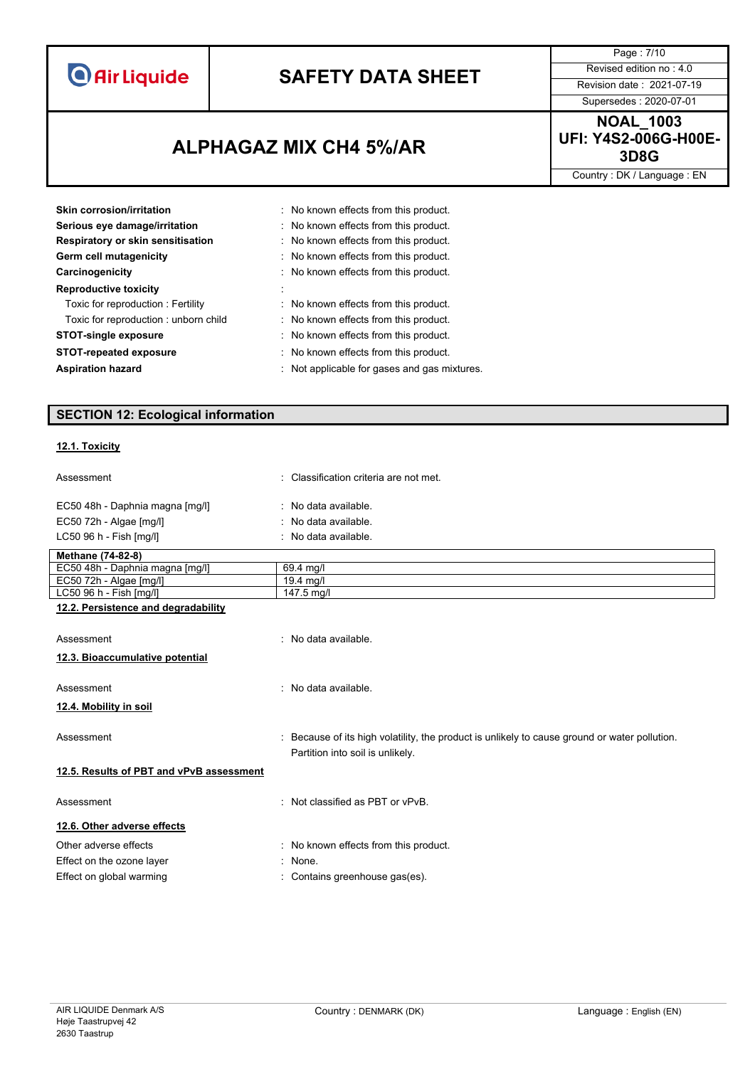# **SAFETY DATA SHEET** Revised edition no : 4.0

Supersedes : 2020-07-01

Page : 7/10

### **3D8G ALPHAGAZ MIX CH4 5%/AR**

**NOAL\_1003 UFI: Y4S2-006G-H00E-**

Country : DK / Language : EN

| Skin corrosion/irritation            | : No known effects from this product.        |
|--------------------------------------|----------------------------------------------|
| Serious eye damage/irritation        | : No known effects from this product.        |
| Respiratory or skin sensitisation    | : No known effects from this product.        |
| Germ cell mutagenicity               | : No known effects from this product.        |
| Carcinogenicity                      | : No known effects from this product.        |
| <b>Reproductive toxicity</b>         |                                              |
| Toxic for reproduction: Fertility    | : No known effects from this product.        |
| Toxic for reproduction: unborn child | : No known effects from this product.        |
| <b>STOT-single exposure</b>          | : No known effects from this product.        |
| <b>STOT-repeated exposure</b>        | : No known effects from this product.        |
| <b>Aspiration hazard</b>             | : Not applicable for gases and gas mixtures. |
|                                      |                                              |

### **SECTION 12: Ecological information**

### **12.1. Toxicity**

| Assessment                               | : Classification criteria are not met.                                                        |
|------------------------------------------|-----------------------------------------------------------------------------------------------|
| EC50 48h - Daphnia magna [mg/l]          | : No data available.                                                                          |
| EC50 72h - Algae [mg/l]                  | : No data available.                                                                          |
| LC50 96 h - Fish [mq/l]                  | : No data available.                                                                          |
| Methane (74-82-8)                        |                                                                                               |
| EC50 48h - Daphnia magna [mg/l]          | 69.4 mg/l                                                                                     |
| EC50 72h - Algae [mg/l]                  | $19.4$ mg/l                                                                                   |
| LC50 96 h - Fish [mg/l]                  | 147.5 mg/l                                                                                    |
| 12.2. Persistence and degradability      |                                                                                               |
|                                          |                                                                                               |
| Assessment                               | : No data available.                                                                          |
| 12.3. Bioaccumulative potential          |                                                                                               |
|                                          |                                                                                               |
| Assessment                               | : No data available.                                                                          |
| 12.4. Mobility in soil                   |                                                                                               |
|                                          |                                                                                               |
| Assessment                               | : Because of its high volatility, the product is unlikely to cause ground or water pollution. |
|                                          | Partition into soil is unlikely.                                                              |
|                                          |                                                                                               |
| 12.5. Results of PBT and vPvB assessment |                                                                                               |
| Assessment                               | : Not classified as PBT or vPvB.                                                              |
|                                          |                                                                                               |
| 12.6. Other adverse effects              |                                                                                               |
| Other adverse effects                    | : No known effects from this product.                                                         |

- Effect on the ozone layer **in the set of the set of the set of the set of the set of the set of the set of the set of the set of the set of the set of the set of the set of the set of the set of the set of the set of the s**
- Effect on global warming **in the contains greenhouse gas(es)**.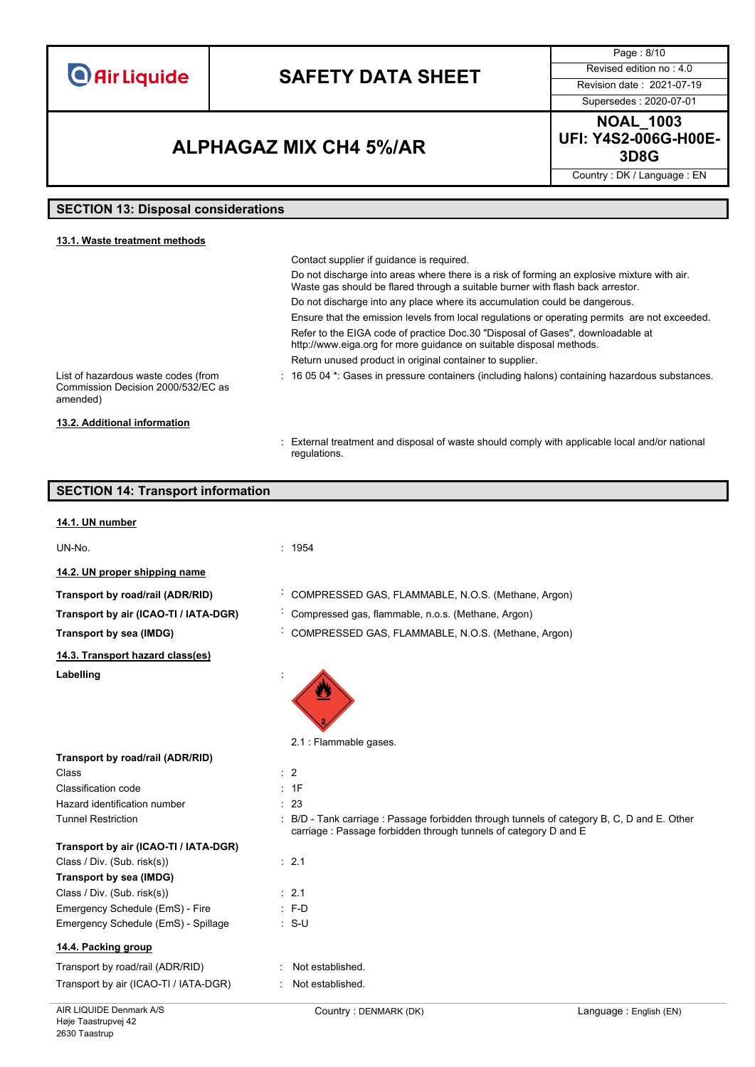## **SAFETY DATA SHEET** Revised edition no : 4.0

Supersedes : 2020-07-01

Page : 8/10

### **3D8G ALPHAGAZ MIX CH4 5%/AR**

**NOAL\_1003 UFI: Y4S2-006G-H00E-**

Country : DK / Language : EN

### **SECTION 13: Disposal considerations**

| 13.1. Waste treatment methods                                                         |                                                                                                                                                                               |
|---------------------------------------------------------------------------------------|-------------------------------------------------------------------------------------------------------------------------------------------------------------------------------|
|                                                                                       | Contact supplier if quidance is required.                                                                                                                                     |
|                                                                                       | Do not discharge into areas where there is a risk of forming an explosive mixture with air.<br>Waste gas should be flared through a suitable burner with flash back arrestor. |
|                                                                                       | Do not discharge into any place where its accumulation could be dangerous.                                                                                                    |
|                                                                                       | Ensure that the emission levels from local regulations or operating permits are not exceeded.                                                                                 |
|                                                                                       | Refer to the EIGA code of practice Doc.30 "Disposal of Gases", downloadable at<br>http://www.eiga.org for more guidance on suitable disposal methods.                         |
|                                                                                       | Return unused product in original container to supplier.                                                                                                                      |
| List of hazardous waste codes (from<br>Commission Decision 2000/532/EC as<br>amended) | $\pm$ 16 05 04 $^*$ . Gases in pressure containers (including halons) containing hazardous substances.                                                                        |
| 13.2. Additional information                                                          |                                                                                                                                                                               |

: External treatment and disposal of waste should comply with applicable local and/or national regulations.

#### **SECTION 14: Transport information**

#### **14.1. UN number**

UN-No. : 1954

**14.2. UN proper shipping name**

**Transport by road/rail (ADR/RID)** : COMPRESSED GAS, FLAMMABLE, N.O.S. (Methane, Argon)

**Transport by air (ICAO-TI / IATA-DGR)** : Compressed gas, flammable, n.o.s. (Methane, Argon)

**Transport by sea (IMDG)** : COMPRESSED GAS, FLAMMABLE, N.O.S. (Methane, Argon)

**14.3. Transport hazard class(es)**

**Transport by road/rail (ADR/RID)**

Labelling

2.1 : Flammable gases.

#### Class : 2 Classification code : 1F Hazard identification number : 23

- -

Tunnel Restriction **in the COLO COLOGY COLOGY COLOGY** : B/D - Tank carriage : Passage forbidden through tunnels of category B, C, D and E. Other carriage : Passage forbidden through tunnels of category D and E

|  |  | Transport by air (ICAO-TI / IATA-DGR) |
|--|--|---------------------------------------|
|  |  |                                       |

### Class / Div. (Sub. risk(s)) : 2.1

| Transport by sea (IMDG)             |                  |  |  |  |
|-------------------------------------|------------------|--|--|--|
| Class / Div. (Sub. risk(s))         | $\therefore$ 2.1 |  |  |  |
| Emergency Schedule (EmS) - Fire     | $\therefore$ F-D |  |  |  |
| Emergency Schedule (EmS) - Spillage | ∴ S-U            |  |  |  |

#### **14.4. Packing group**

| Transport by road/rail (ADR/RID)      | : Not established. |
|---------------------------------------|--------------------|
| Transport by air (ICAO-TI / IATA-DGR) | : Not established. |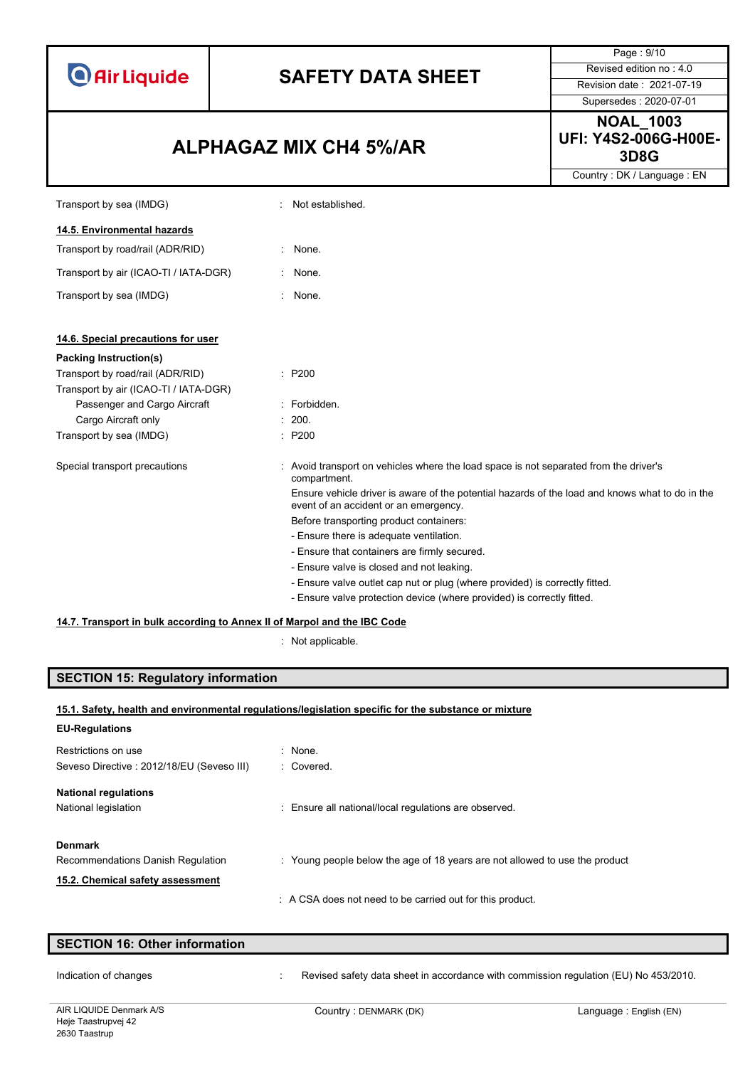# **SAFETY DATA SHEET** Revised edition no : 4.0

### **3D8G ALPHAGAZ MIX CH4 5%/AR**

Page : 9/10 Supersedes : 2020-07-01

**NOAL\_1003 UFI: Y4S2-006G-H00E-**

Country : DK / Language : EN

| Transport by sea (IMDG)                                                  | Not established.                                                                                                                         |  |  |
|--------------------------------------------------------------------------|------------------------------------------------------------------------------------------------------------------------------------------|--|--|
| 14.5. Environmental hazards                                              |                                                                                                                                          |  |  |
| Transport by road/rail (ADR/RID)                                         | None.                                                                                                                                    |  |  |
| Transport by air (ICAO-TI / IATA-DGR)                                    | None.                                                                                                                                    |  |  |
| Transport by sea (IMDG)                                                  | None.<br>$\bullet$ .                                                                                                                     |  |  |
| 14.6. Special precautions for user                                       |                                                                                                                                          |  |  |
| Packing Instruction(s)                                                   |                                                                                                                                          |  |  |
| Transport by road/rail (ADR/RID)                                         | $\therefore$ P200                                                                                                                        |  |  |
| Transport by air (ICAO-TI / IATA-DGR)                                    |                                                                                                                                          |  |  |
| Passenger and Cargo Aircraft                                             | : Forbidden.                                                                                                                             |  |  |
| Cargo Aircraft only                                                      | : 200.                                                                                                                                   |  |  |
| Transport by sea (IMDG)                                                  | : P200                                                                                                                                   |  |  |
| Special transport precautions                                            | : Avoid transport on vehicles where the load space is not separated from the driver's<br>compartment.                                    |  |  |
|                                                                          | Ensure vehicle driver is aware of the potential hazards of the load and knows what to do in the<br>event of an accident or an emergency. |  |  |
|                                                                          | Before transporting product containers:                                                                                                  |  |  |
|                                                                          | - Ensure there is adequate ventilation.                                                                                                  |  |  |
|                                                                          | - Ensure that containers are firmly secured.                                                                                             |  |  |
|                                                                          | - Ensure valve is closed and not leaking.                                                                                                |  |  |
|                                                                          | - Ensure valve outlet cap nut or plug (where provided) is correctly fitted.                                                              |  |  |
|                                                                          | - Ensure valve protection device (where provided) is correctly fitted.                                                                   |  |  |
| 14.7. Transport in bulk according to Annex II of Marpol and the IBC Code |                                                                                                                                          |  |  |

: Not applicable.

### **SECTION 15: Regulatory information**

| <b>EU-Regulations</b>                                                                   |                                                                             |
|-----------------------------------------------------------------------------------------|-----------------------------------------------------------------------------|
| Restrictions on use<br>Seveso Directive: 2012/18/EU (Seveso III)                        | $:$ None.<br>: Covered.                                                     |
| <b>National regulations</b><br>National legislation                                     | : Ensure all national/local regulations are observed.                       |
| <b>Denmark</b><br>Recommendations Danish Regulation<br>15.2. Chemical safety assessment | : Young people below the age of 18 years are not allowed to use the product |
|                                                                                         | : A CSA does not need to be carried out for this product.                   |

| <b>SECTION 16: Other information</b> |  |                                                                                      |  |  |  |
|--------------------------------------|--|--------------------------------------------------------------------------------------|--|--|--|
| Indication of changes                |  | Revised safety data sheet in accordance with commission regulation (EU) No 453/2010. |  |  |  |